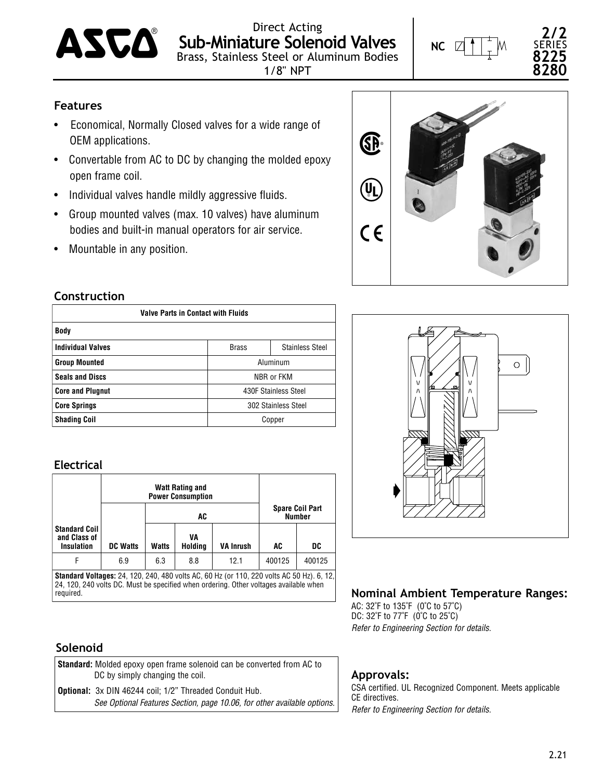

Direct Acting **Sub-Miniature Solenoid Valves**  $\mathbf{AS}\mathbf{\mathbf{C}}\mathbf{\mathbf{\mathbf{C}}}$  Sub-Miniature Solenoid Valves

1/8" NPT

**NC**

**2/2** SERIES **8225 8280**

## **Features**

- Economical, Normally Closed valves for a wide range of OEM applications.
- Convertable from AC to DC by changing the molded epoxy open frame coil.
- Individual valves handle mildly aggressive fluids.
- Group mounted valves (max. 10 valves) have aluminum bodies and built-in manual operators for air service.
- Mountable in any position.

## **Construction**

| <b>Valve Parts in Contact with Fluids</b> |                      |                        |  |  |  |  |  |  |
|-------------------------------------------|----------------------|------------------------|--|--|--|--|--|--|
| Body                                      |                      |                        |  |  |  |  |  |  |
| <b>Individual Valves</b>                  | <b>Brass</b>         | <b>Stainless Steel</b> |  |  |  |  |  |  |
| <b>Group Mounted</b>                      | Aluminum             |                        |  |  |  |  |  |  |
| <b>Seals and Discs</b>                    | NBR or FKM           |                        |  |  |  |  |  |  |
| <b>Core and Plugnut</b>                   | 430F Stainless Steel |                        |  |  |  |  |  |  |
| <b>Core Springs</b>                       | 302 Stainless Steel  |                        |  |  |  |  |  |  |
| <b>Shading Coil</b>                       |                      | Copper                 |  |  |  |  |  |  |

### **Electrical**

|                 |                      | AC            | <b>Spare Coil Part</b><br><b>Number</b> |                          |                                                                                                                                                                                                                                                                                                                                    |
|-----------------|----------------------|---------------|-----------------------------------------|--------------------------|------------------------------------------------------------------------------------------------------------------------------------------------------------------------------------------------------------------------------------------------------------------------------------------------------------------------------------|
| <b>DC Watts</b> | <b>Watts</b>         | VA<br>Holding | <b>VA Inrush</b>                        | AC                       | DC                                                                                                                                                                                                                                                                                                                                 |
| 6.9             | 6.3                  | 8.8           | 12.1                                    | 400125                   | 400125                                                                                                                                                                                                                                                                                                                             |
|                 | <b>Standard Coil</b> |               | <b>Watt Rating and</b><br>              | <b>Power Consumption</b> | $\mathbf{a}$ $\mathbf{a}$ $\mathbf{a}$ $\mathbf{a}$ $\mathbf{a}$ $\mathbf{a}$ $\mathbf{a}$ $\mathbf{a}$ $\mathbf{a}$ $\mathbf{a}$ $\mathbf{a}$ $\mathbf{a}$ $\mathbf{a}$ $\mathbf{a}$ $\mathbf{a}$ $\mathbf{a}$ $\mathbf{a}$ $\mathbf{a}$ $\mathbf{a}$ $\mathbf{a}$ $\mathbf{a}$ $\mathbf{a}$ $\mathbf{a}$ $\mathbf{a}$ $\mathbf{$ |

**Standard Voltages:** 24, 120, 240, 480 volts AC, 60 Hz (or 110, 220 volts AC 50 Hz). 6, 12, 24, 120, 240 volts DC. Must be specified when ordering. Other voltages available when required.

### **Solenoid**

| <b>Standard:</b> Molded epoxy open frame solenoid can be converted from AC to<br>DC by simply changing the coil.                          |
|-------------------------------------------------------------------------------------------------------------------------------------------|
| <b>Optional:</b> 3x DIN 46244 coil; 1/2" Threaded Conduit Hub.<br>See Optional Features Section, page 10.06, for other available options. |





# **Nominal Ambient Temperature Ranges:**

AC: 32˚F to 135˚F (0˚C to 57˚C) DC: 32 $\degree$ F to 77 $\degree$ F (0 $\degree$ C to 25 $\degree$ C) *Refer to Engineering Section for details.*

## **Approvals:**

CSA certified. UL Recognized Component. Meets applicable CE directives. *Refer to Engineering Section for details.*